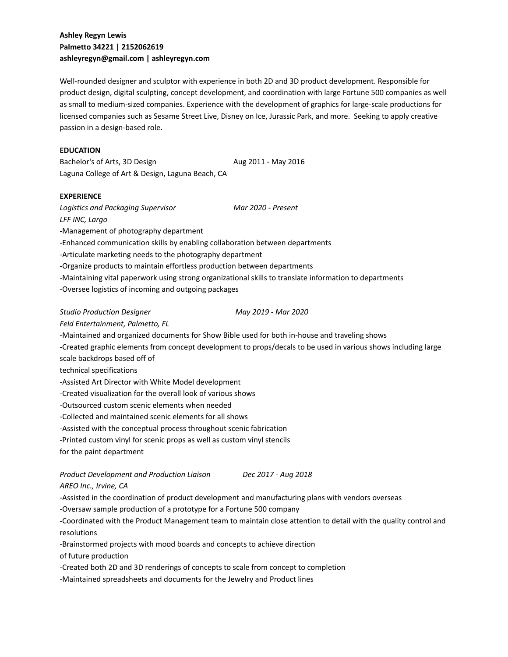# **Ashley Regyn Lewis Palmetto 34221 | 2152062619 ashleyregyn@gmail.com | ashleyregyn.com**

Well-rounded designer and sculptor with experience in both 2D and 3D product development. Responsible for product design, digital sculpting, concept development, and coordination with large Fortune 500 companies as well as small to medium-sized companies. Experience with the development of graphics for large-scale productions for licensed companies such as Sesame Street Live, Disney on Ice, Jurassic Park, and more. Seeking to apply creative passion in a design-based role.

### **EDUCATION**

Bachelor's of Arts, 3D Design Aug 2011 - May 2016 Laguna College of Art & Design, Laguna Beach, CA

#### **EXPERIENCE**

*Logistics and Packaging Supervisor Mar 2020 - Present*

*LFF INC, Largo*

-Management of photography department

- -Enhanced communication skills by enabling collaboration between departments
- -Articulate marketing needs to the photography department
- -Organize products to maintain effortless production between departments
- -Maintaining vital paperwork using strong organizational skills to translate information to departments
- -Oversee logistics of incoming and outgoing packages

#### *Studio Production Designer May 2019 - Mar 2020*

*Feld Entertainment, Palmetto, FL*

-Maintained and organized documents for Show Bible used for both in-house and traveling shows

-Created graphic elements from concept development to props/decals to be used in various shows including large

scale backdrops based off of

technical specifications

-Assisted Art Director with White Model development

-Created visualization for the overall look of various shows

-Outsourced custom scenic elements when needed

-Collected and maintained scenic elements for all shows

-Assisted with the conceptual process throughout scenic fabrication

-Printed custom vinyl for scenic props as well as custom vinyl stencils

for the paint department

*Product Development and Production Liaison Dec 2017 - Aug 2018 AREO Inc., Irvine, CA*

-Assisted in the coordination of product development and manufacturing plans with vendors overseas

-Oversaw sample production of a prototype for a Fortune 500 company

-Coordinated with the Product Management team to maintain close attention to detail with the quality control and resolutions

-Brainstormed projects with mood boards and concepts to achieve direction

of future production

-Created both 2D and 3D renderings of concepts to scale from concept to completion

-Maintained spreadsheets and documents for the Jewelry and Product lines